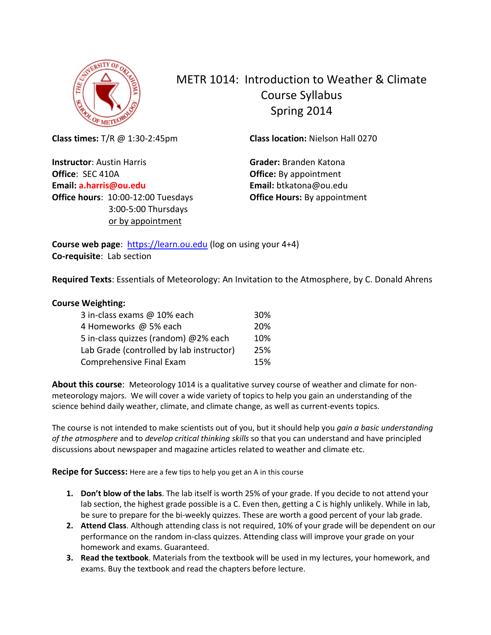

# METR 1014: Introduction to Weather & Climate Course Syllabus Spring 2014

**Class times:** T/R @ 1:30-2:45pm

**Instructor**: Austin Harris **Office**: SEC 410A **Email: a.harris@ou.edu Office hours**: 10:00-12:00 Tuesdays 3:00-5:00 Thursdays or by appointment

**Class location:** Nielson Hall 0270

**Grader:** Branden Katona **Office:** By appointment **Email:** btkatona@ou.edu **Office Hours:** By appointment

**Course web page:** [https://learn.ou.edu](https://learn.ou.edu/) (log on using your 4+4) **Co-requisite**: Lab section

**Required Texts**: Essentials of Meteorology: An Invitation to the Atmosphere, by C. Donald Ahrens

#### **Course Weighting:**

| 3 in-class exams @ 10% each              | 30% |
|------------------------------------------|-----|
| 4 Homeworks @ 5% each                    | 20% |
| 5 in-class quizzes (random) @2% each     | 10% |
| Lab Grade (controlled by lab instructor) | 25% |
| Comprehensive Final Exam                 | 15% |

**About this course**: Meteorology 1014 is a qualitative survey course of weather and climate for nonmeteorology majors. We will cover a wide variety of topics to help you gain an understanding of the science behind daily weather, climate, and climate change, as well as current-events topics.

The course is not intended to make scientists out of you, but it should help you *gain a basic understanding of the atmosphere* and to *develop critical thinking skills* so that you can understand and have principled discussions about newspaper and magazine articles related to weather and climate etc.

**Recipe for Success:** Here are a few tips to help you get an A in this course

- **1. Don't blow of the labs**. The lab itself is worth 25% of your grade. If you decide to not attend your lab section, the highest grade possible is a C. Even then, getting a C is highly unlikely. While in lab, be sure to prepare for the bi-weekly quizzes. These are worth a good percent of your lab grade.
- **2. Attend Class**. Although attending class is not required, 10% of your grade will be dependent on our performance on the random in-class quizzes. Attending class will improve your grade on your homework and exams. Guaranteed.
- **3. Read the textbook**. Materials from the textbook will be used in my lectures, your homework, and exams. Buy the textbook and read the chapters before lecture.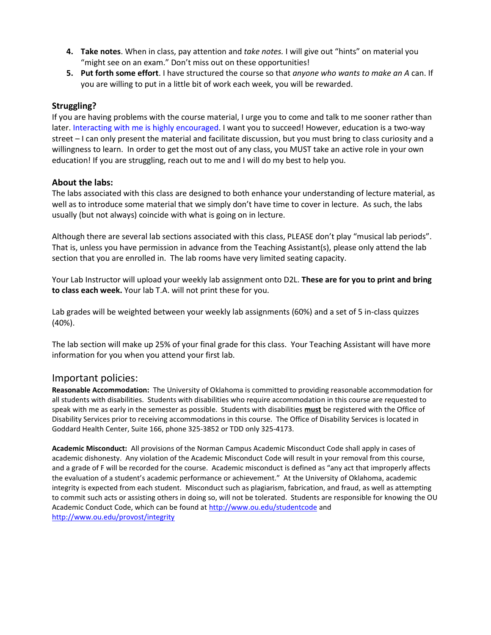- **4. Take notes**. When in class, pay attention and *take notes.* I will give out "hints" on material you "might see on an exam." Don't miss out on these opportunities!
- **5. Put forth some effort**. I have structured the course so that *anyone who wants to make an A* can. If you are willing to put in a little bit of work each week, you will be rewarded.

#### **Struggling?**

If you are having problems with the course material, I urge you to come and talk to me sooner rather than later. Interacting with me is highly encouraged. I want you to succeed! However, education is a two-way street – I can only present the material and facilitate discussion, but you must bring to class curiosity and a willingness to learn. In order to get the most out of any class, you MUST take an active role in your own education! If you are struggling, reach out to me and I will do my best to help you.

#### **About the labs:**

The labs associated with this class are designed to both enhance your understanding of lecture material, as well as to introduce some material that we simply don't have time to cover in lecture. As such, the labs usually (but not always) coincide with what is going on in lecture.

Although there are several lab sections associated with this class, PLEASE don't play "musical lab periods". That is, unless you have permission in advance from the Teaching Assistant(s), please only attend the lab section that you are enrolled in. The lab rooms have very limited seating capacity.

Your Lab Instructor will upload your weekly lab assignment onto D2L. **These are for you to print and bring to class each week.** Your lab T.A. will not print these for you.

Lab grades will be weighted between your weekly lab assignments (60%) and a set of 5 in-class quizzes (40%).

The lab section will make up 25% of your final grade for this class. Your Teaching Assistant will have more information for you when you attend your first lab.

### Important policies:

**Reasonable Accommodation:** The University of Oklahoma is committed to providing reasonable accommodation for all students with disabilities. Students with disabilities who require accommodation in this course are requested to speak with me as early in the semester as possible. Students with disabilities **must** be registered with the Office of Disability Services prior to receiving accommodations in this course. The Office of Disability Services is located in Goddard Health Center, Suite 166, phone 325-3852 or TDD only 325-4173.

**Academic Misconduct:** All provisions of the Norman Campus Academic Misconduct Code shall apply in cases of academic dishonesty. Any violation of the Academic Misconduct Code will result in your removal from this course, and a grade of F will be recorded for the course. Academic misconduct is defined as "any act that improperly affects the evaluation of a student's academic performance or achievement." At the University of Oklahoma, academic integrity is expected from each student. Misconduct such as plagiarism, fabrication, and fraud, as well as attempting to commit such acts or assisting others in doing so, will not be tolerated. Students are responsible for knowing the OU Academic Conduct Code, which can be found a[t http://www.ou.edu/studentcode](http://www.ou.edu/studentcode) and <http://www.ou.edu/provost/integrity>